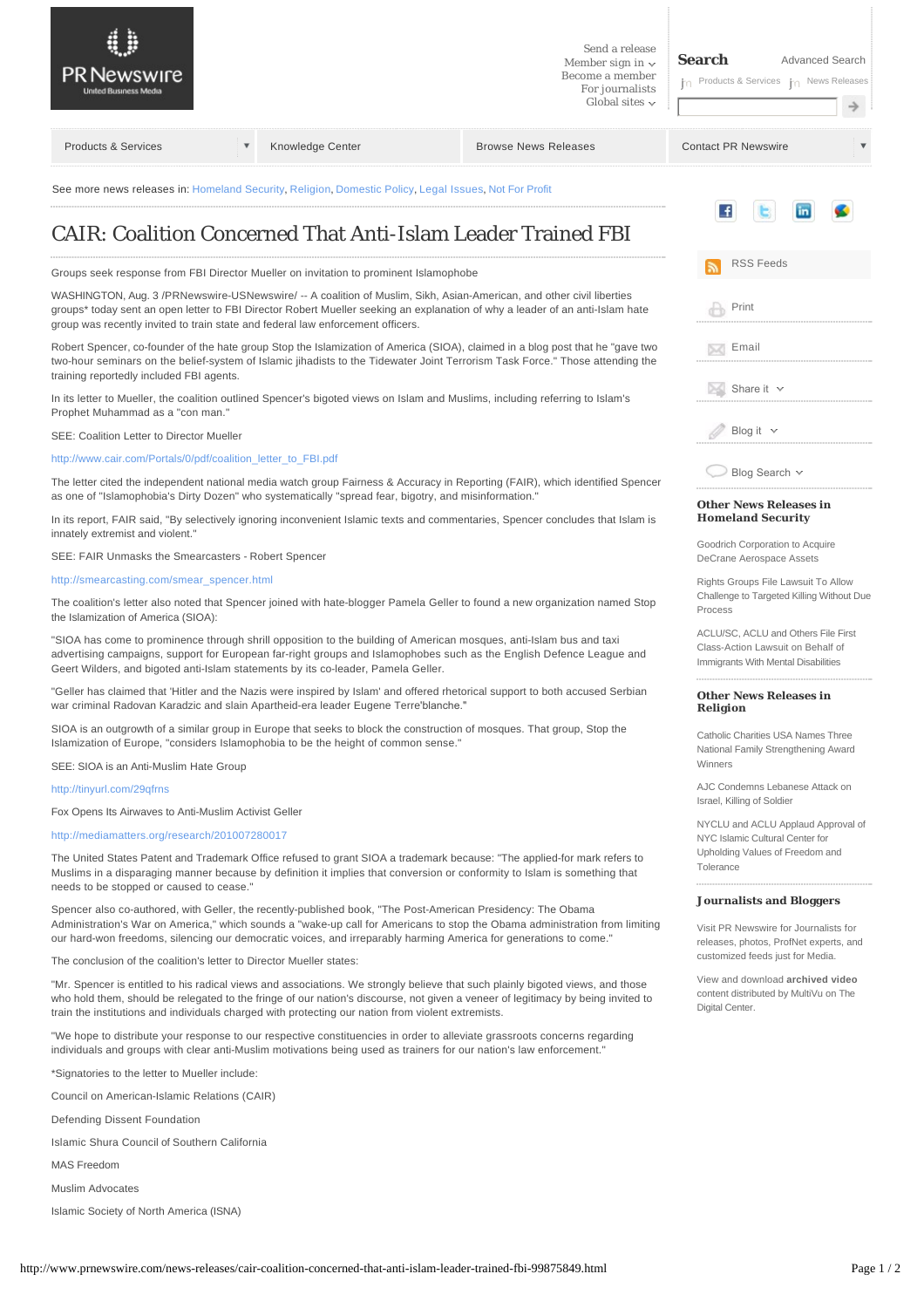<span id="page-0-0"></span>

## **Journalists and Bloggers**

Visit [PR Newswire for Journalists](http://www.prnewswire.com/media) for releases, photos, ProfNet experts, and customized feeds just for Media.

View and download **archived video**  [content distributed by MultiVu on The](http://www.thedigitalcenter.com/)  Digital Center

"Mr. Spencer is entitled to his radical views and associations. We strongly believe that such plainly bigoted views, and those who hold them, should be relegated to the fringe of our nation's discourse, not given a veneer of legitimacy by being invited to train the institutions and individuals charged with protecting our nation from violent extremists.

Spencer also co-authored, with Geller, the recently-published book, "The Post-American Presidency: The Obama

Administration's War on America," which sounds a "wake-up call for Americans to stop the Obama administration from limiting our hard-won freedoms, silencing our democratic voices, and irreparably harming America for generations to come."

"We hope to distribute your response to our respective constituencies in order to alleviate grassroots concerns regarding individuals and groups with clear anti-Muslim motivations being used as trainers for our nation's law enforcement."

\*Signatories to the letter to Mueller include:

Council on American-Islamic Relations (CAIR)

The conclusion of the coalition's letter to Director Mueller states:

Defending Dissent Foundation

Islamic Shura Council of Southern California

MAS Freedom

Muslim Advocates

Islamic Society of North America (ISNA)